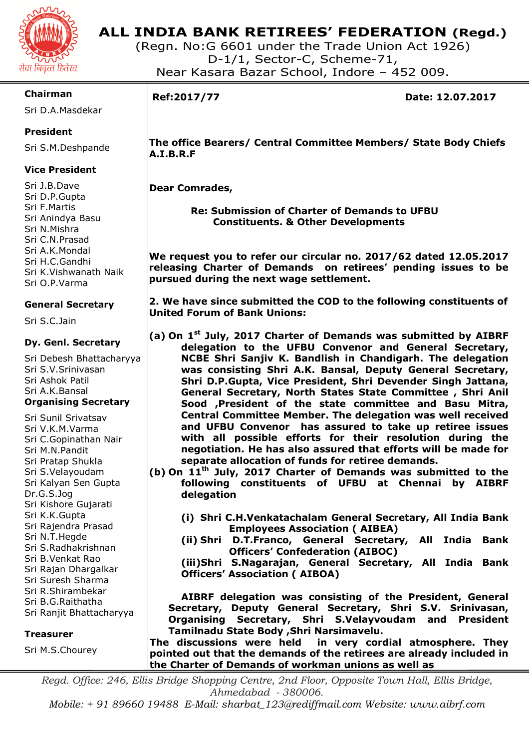

# **ALL INDIA BANK RETIREES' FEDERATION (Regd.)**

(Regn. No:G 6601 under the Trade Union Act 1926) D-1/1, Sector-C, Scheme-71, Near Kasara Bazar School, Indore – 452 009.

# **Chairman**

Sri D.A.Masdekar

# **President**

Sri S.M.Deshpande

# **Vice President**

Sri J.B.Dave Sri D.P.Gupta Sri F.Martis Sri Anindya Basu Sri N.Mishra Sri C.N.Prasad Sri A.K.Mondal Sri H.C.Gandhi Sri K.Vishwanath Naik Sri O.P.Varma

# **General Secretary**

Sri S.C.Jain

# **Dy. Genl. Secretary**

Sri Debesh Bhattacharyya Sri S.V.Srinivasan Sri Ashok Patil Sri A.K.Bansal **Organising Secretary** 

Sri Sunil Srivatsav Sri V.K.M.Varma Sri C.Gopinathan Nair Sri M.N.Pandit Sri Pratap Shukla Sri S.Velayoudam Sri Kalyan Sen Gupta Dr.G.S.Jog Sri Kishore Gujarati Sri K.K.Gupta Sri Rajendra Prasad Sri N.T.Hegde Sri S.Radhakrishnan Sri B.Venkat Rao Sri Rajan Dhargalkar Sri Suresh Sharma Sri R.Shirambekar Sri B.G.Raithatha Sri Ranjit Bhattacharyya

### **Treasurer**

Sri M.S.Chourey

I

**Ref:2017/77 Date: 12.07.2017** 

 **The office Bearers/ Central Committee Members/ State Body Chiefs A.I.B.R.F** 

 **Dear Comrades,** 

 **Re: Submission of Charter of Demands to UFBU Constituents. & Other Developments** 

**We request you to refer our circular no. 2017/62 dated 12.05.2017 releasing Charter of Demands on retirees' pending issues to be pursued during the next wage settlement.** 

**2. We have since submitted the COD to the following constituents of United Forum of Bank Unions:** 

- **(a) On 1st July, 2017 Charter of Demands was submitted by AIBRF delegation to the UFBU Convenor and General Secretary, NCBE Shri Sanjiv K. Bandlish in Chandigarh. The delegation was consisting Shri A.K. Bansal, Deputy General Secretary, Shri D.P.Gupta, Vice President, Shri Devender Singh Jattana, General Secretary, North States State Committee , Shri Anil Sood ,President of the state committee and Basu Mitra, Central Committee Member. The delegation was well received and UFBU Convenor has assured to take up retiree issues with all possible efforts for their resolution during the negotiation. He has also assured that efforts will be made for separate allocation of funds for retiree demands.**
- **(b) On 11th July, 2017 Charter of Demands was submitted to the following constituents of UFBU at Chennai by AIBRF delegation** 
	- **(i) Shri C.H.Venkatachalam General Secretary, All India Bank Employees Association ( AIBEA)**
	- **(ii) Shri D.T.Franco, General Secretary, All India Bank Officers' Confederation (AIBOC)**
	- **(iii)Shri S.Nagarajan, General Secretary, All India Bank Officers' Association ( AIBOA)**

 **AIBRF delegation was consisting of the President, General Secretary, Deputy General Secretary, Shri S.V. Srinivasan, Organising Secretary, Shri S.Velayvoudam and President Tamilnadu State Body ,Shri Narsimavelu.** 

**The discussions were held in very cordial atmosphere. They pointed out that the demands of the retirees are already included in the Charter of Demands of workman unions as well as**

*Regd. Office: 246, Ellis Bridge Shopping Centre, 2nd Floor, Opposite Town Hall, Ellis Bridge, Ahmedabad - 380006.* 

*Mobile: + 91 89660 19488 E-Mail: sharbat\_123@rediffmail.com Website: www.aibrf.com*